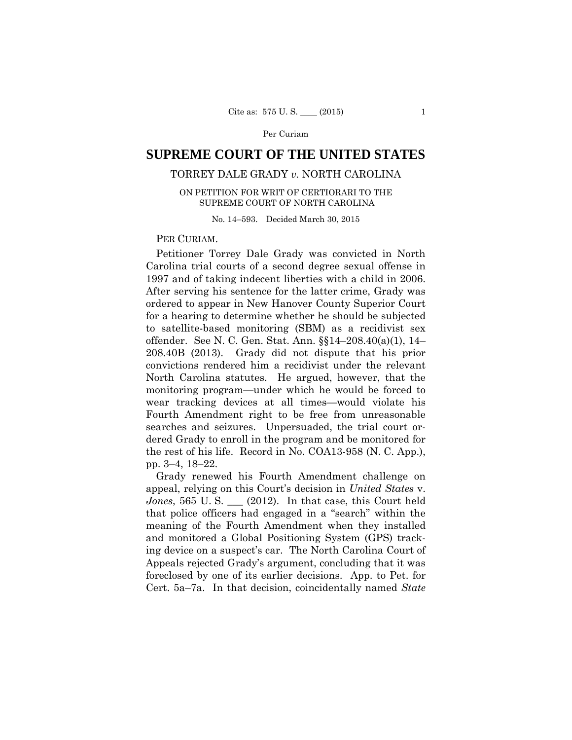# **SUPREME COURT OF THE UNITED STATES**

## TORREY DALE GRADY *v.* NORTH CAROLINA

ON PETITION FOR WRIT OF CERTIORARI TO THE SUPREME COURT OF NORTH CAROLINA

No. 14–593. Decided March 30, 2015

## PER CURIAM.

Petitioner Torrey Dale Grady was convicted in North Carolina trial courts of a second degree sexual offense in 1997 and of taking indecent liberties with a child in 2006. After serving his sentence for the latter crime, Grady was ordered to appear in New Hanover County Superior Court for a hearing to determine whether he should be subjected to satellite-based monitoring (SBM) as a recidivist sex offender. See N. C. Gen. Stat. Ann. §§14–208.40(a)(1), 14– 208.40B (2013). Grady did not dispute that his prior convictions rendered him a recidivist under the relevant North Carolina statutes. He argued, however, that the monitoring program—under which he would be forced to wear tracking devices at all times—would violate his Fourth Amendment right to be free from unreasonable searches and seizures. Unpersuaded, the trial court ordered Grady to enroll in the program and be monitored for the rest of his life. Record in No. COA13-958 (N. C. App.), pp. 3–4, 18–22.

Grady renewed his Fourth Amendment challenge on appeal, relying on this Court's decision in *United States* v. *Jones*, 565 U. S. \_\_\_ (2012). In that case, this Court held that police officers had engaged in a "search" within the meaning of the Fourth Amendment when they installed and monitored a Global Positioning System (GPS) tracking device on a suspect's car. The North Carolina Court of Appeals rejected Grady's argument, concluding that it was foreclosed by one of its earlier decisions. App. to Pet. for Cert. 5a–7a. In that decision, coincidentally named *State*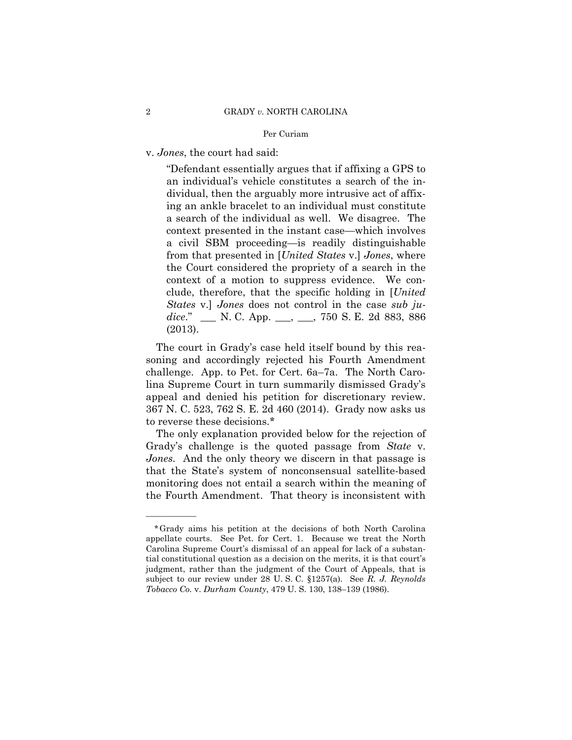v. *Jones*, the court had said:

"Defendant essentially argues that if affixing a GPS to an individual's vehicle constitutes a search of the individual, then the arguably more intrusive act of affixing an ankle bracelet to an individual must constitute a search of the individual as well. We disagree. The context presented in the instant case—which involves a civil SBM proceeding—is readily distinguishable from that presented in [*United States* v.] *Jones*, where the Court considered the propriety of a search in the context of a motion to suppress evidence. We conclude, therefore, that the specific holding in [*United States* v.] *Jones* does not control in the case *sub judice*." \_\_\_ N. C. App. \_\_\_, \_\_\_, 750 S. E. 2d 883, 886 (2013).

The court in Grady's case held itself bound by this reasoning and accordingly rejected his Fourth Amendment challenge. App. to Pet. for Cert. 6a–7a. The North Carolina Supreme Court in turn summarily dismissed Grady's appeal and denied his petition for discretionary review. 367 N. C. 523, 762 S. E. 2d 460 (2014). Grady now asks us to reverse these decisions.\*

The only explanation provided below for the rejection of Grady's challenge is the quoted passage from *State* v. *Jones*. And the only theory we discern in that passage is that the State's system of nonconsensual satellite-based monitoring does not entail a search within the meaning of the Fourth Amendment. That theory is inconsistent with

——————

<sup>\*</sup>Grady aims his petition at the decisions of both North Carolina appellate courts. See Pet. for Cert. 1. Because we treat the North Carolina Supreme Court's dismissal of an appeal for lack of a substantial constitutional question as a decision on the merits, it is that court's judgment, rather than the judgment of the Court of Appeals, that is subject to our review under 28 U. S. C. §1257(a). See *R. J. Reynolds Tobacco Co.* v. *Durham County*, 479 U. S. 130, 138–139 (1986).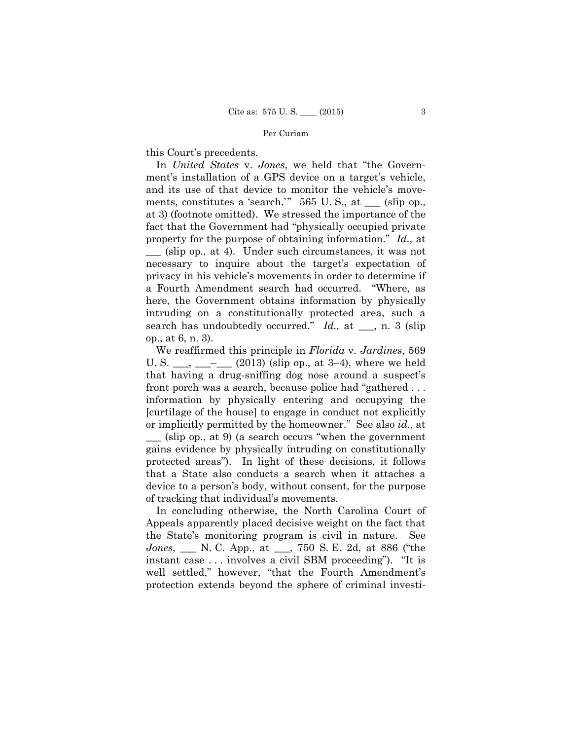this Court's precedents.

 search has undoubtedly occurred." *Id.,* at \_\_\_, n. 3 (slip In *United States* v. *Jones*, we held that "the Government's installation of a GPS device on a target's vehicle, and its use of that device to monitor the vehicle's movements, constitutes a 'search.'" 565 U. S., at \_\_\_ (slip op., at 3) (footnote omitted). We stressed the importance of the fact that the Government had "physically occupied private property for the purpose of obtaining information." *Id.,* at \_\_\_ (slip op., at 4). Under such circumstances, it was not necessary to inquire about the target's expectation of privacy in his vehicle's movements in order to determine if a Fourth Amendment search had occurred. "Where, as here, the Government obtains information by physically intruding on a constitutionally protected area, such a op., at 6, n. 3).

We reaffirmed this principle in *Florida* v. *Jardines*, 569 U. S.  $\frac{1}{\sqrt{2}}$   $\frac{1}{\sqrt{2}}$  (2013) (slip op., at 3–4), where we held that having a drug-sniffing dog nose around a suspect's front porch was a search, because police had "gathered . . . information by physically entering and occupying the [curtilage of the house] to engage in conduct not explicitly or implicitly permitted by the homeowner." See also *id.,* at  $\equiv$  (slip op., at 9) (a search occurs "when the government" gains evidence by physically intruding on constitutionally protected areas"). In light of these decisions, it follows that a State also conducts a search when it attaches a device to a person's body, without consent, for the purpose of tracking that individual's movements.

In concluding otherwise, the North Carolina Court of Appeals apparently placed decisive weight on the fact that the State's monitoring program is civil in nature. See *Jones*, \_\_\_ N. C. App., at \_\_\_, 750 S. E. 2d, at 886 ("the instant case . . . involves a civil SBM proceeding"). "It is well settled," however, "that the Fourth Amendment's protection extends beyond the sphere of criminal investi-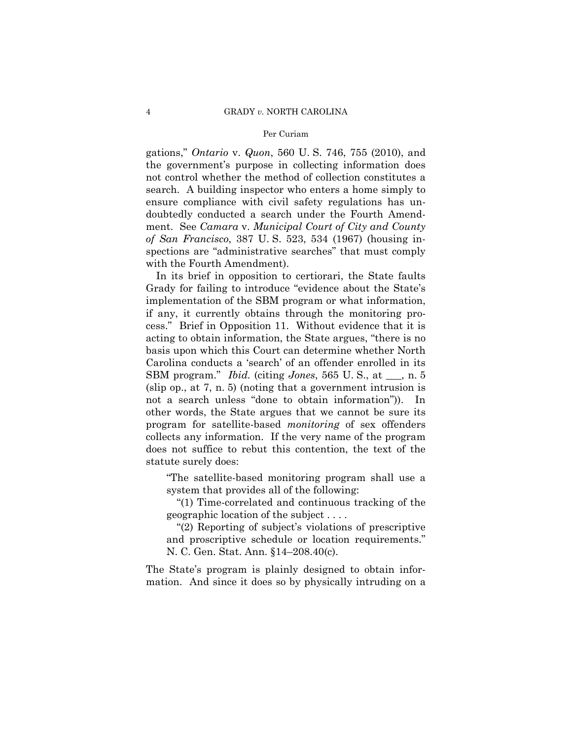gations," *Ontario* v. *Quon*, 560 U. S. 746, 755 (2010), and the government's purpose in collecting information does not control whether the method of collection constitutes a search. A building inspector who enters a home simply to ensure compliance with civil safety regulations has undoubtedly conducted a search under the Fourth Amendment. See *Camara* v. *Municipal Court of City and County of San Francisco*, 387 U. S. 523, 534 (1967) (housing inspections are "administrative searches" that must comply with the Fourth Amendment).

In its brief in opposition to certiorari, the State faults Grady for failing to introduce "evidence about the State's implementation of the SBM program or what information, if any, it currently obtains through the monitoring process." Brief in Opposition 11. Without evidence that it is acting to obtain information, the State argues, "there is no basis upon which this Court can determine whether North Carolina conducts a 'search' of an offender enrolled in its SBM program." *Ibid.* (citing *Jones*, 565 U. S., at \_\_\_, n. 5 (slip op., at 7, n. 5) (noting that a government intrusion is not a search unless "done to obtain information")). In other words, the State argues that we cannot be sure its program for satellite-based *monitoring* of sex offenders collects any information. If the very name of the program does not suffice to rebut this contention, the text of the statute surely does:

"The satellite-based monitoring program shall use a system that provides all of the following:

"(1) Time-correlated and continuous tracking of the geographic location of the subject . . . .

"(2) Reporting of subject's violations of prescriptive and proscriptive schedule or location requirements." N. C. Gen. Stat. Ann. §14–208.40(c).

The State's program is plainly designed to obtain information. And since it does so by physically intruding on a